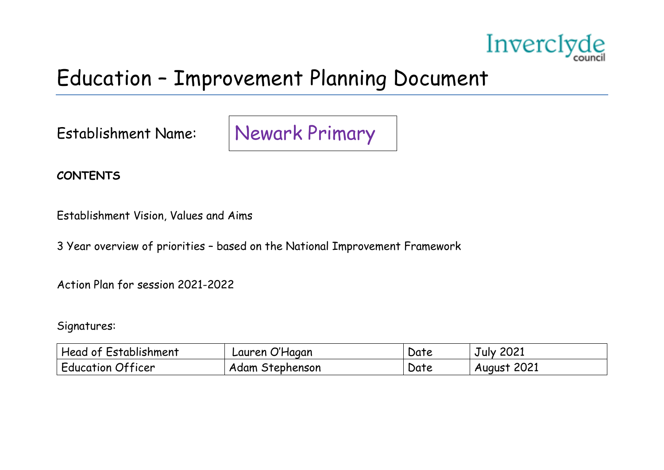

### Education – Improvement Planning Document

Establishment Name:

Newark Primary

**CONTENTS**

Establishment Vision, Values and Aims

3 Year overview of priorities – based on the National Improvement Framework

Action Plan for session 2021-2022

Signatures:

| Head of Establishment    | Lauren O'Hagan  | Date | July 2021   |
|--------------------------|-----------------|------|-------------|
| <b>Education Officer</b> | Adam Stephenson | Date | August 2021 |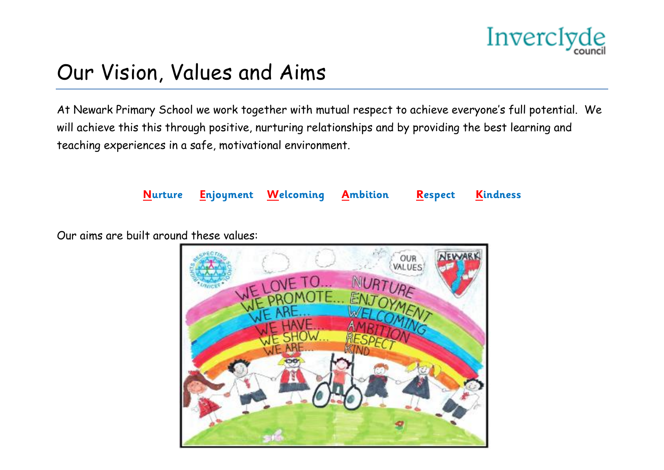

### Our Vision, Values and Aims

At Newark Primary School we work together with mutual respect to achieve everyone's full potential. We will achieve this this through positive, nurturing relationships and by providing the best learning and teaching experiences in a safe, motivational environment.



Our aims are built around these values:

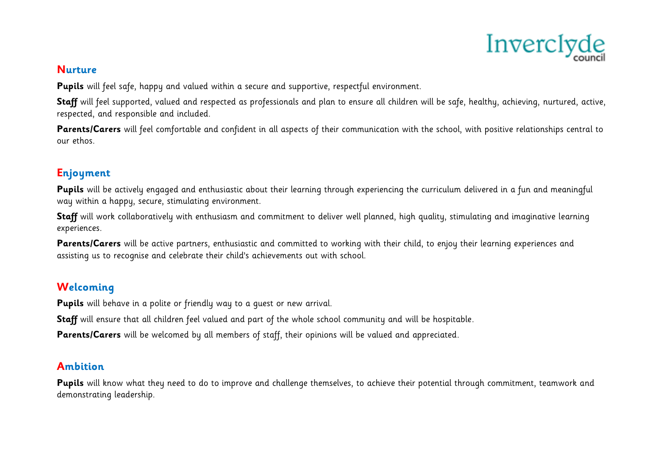

### **Nurture**

**Pupils** will feel safe, happy and valued within a secure and supportive, respectful environment.

**Staff** will feel supported, valued and respected as professionals and plan to ensure all children will be safe, healthy, achieving, nurtured, active, respected, and responsible and included.

Parents/Carers will feel comfortable and confident in all aspects of their communication with the school, with positive relationships central to our ethos.

### **Enjoyment**

**Pupils** will be actively engaged and enthusiastic about their learning through experiencing the curriculum delivered in a fun and meaningful way within a happy, secure, stimulating environment.

**Staff** will work collaboratively with enthusiasm and commitment to deliver well planned, high quality, stimulating and imaginative learning experiences.

Parents/Carers will be active partners, enthusiastic and committed to working with their child, to enjoy their learning experiences and assisting us to recognise and celebrate their child's achievements out with school.

### **Welcoming**

**Pupils** will behave in a polite or friendly way to a guest or new arrival.

**Staff** will ensure that all children feel valued and part of the whole school community and will be hospitable.

**Parents/Carers** will be welcomed by all members of staff, their opinions will be valued and appreciated.

### **Ambition**

**Pupils** will know what they need to do to improve and challenge themselves, to achieve their potential through commitment, teamwork and demonstrating leadership.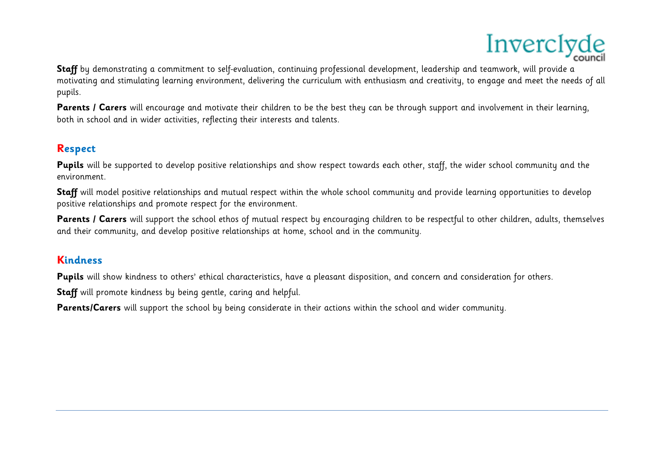

**Staff** by demonstrating a commitment to self-evaluation, continuing professional development, leadership and teamwork, will provide a motivating and stimulating learning environment, delivering the curriculum with enthusiasm and creativity, to engage and meet the needs of all pupils.

**Parents / Carers** will encourage and motivate their children to be the best they can be through support and involvement in their learning, both in school and in wider activities, reflecting their interests and talents.

### **Respect**

Pupils will be supported to develop positive relationships and show respect towards each other, staff, the wider school community and the environment.

**Staff** will model positive relationships and mutual respect within the whole school community and provide learning opportunities to develop positive relationships and promote respect for the environment.

Parents / Carers will support the school ethos of mutual respect by encouraging children to be respectful to other children, adults, themselves and their community, and develop positive relationships at home, school and in the community.

### **Kindness**

Pupils will show kindness to others' ethical characteristics, have a pleasant disposition, and concern and consideration for others.

**Staff** will promote kindness by being gentle, caring and helpful.

**Parents/Carers** will support the school by being considerate in their actions within the school and wider community.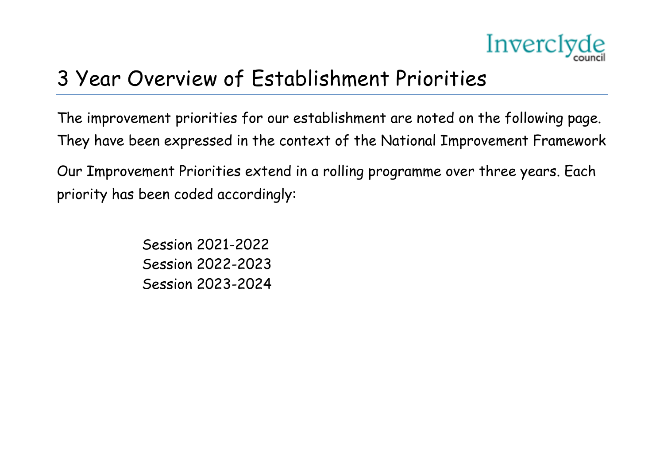

### 3 Year Overview of Establishment Priorities

The improvement priorities for our establishment are noted on the following page. They have been expressed in the context of the National Improvement Framework

Our Improvement Priorities extend in a rolling programme over three years. Each priority has been coded accordingly:

> Session 2021-2022 Session 2022-2023 Session 2023-2024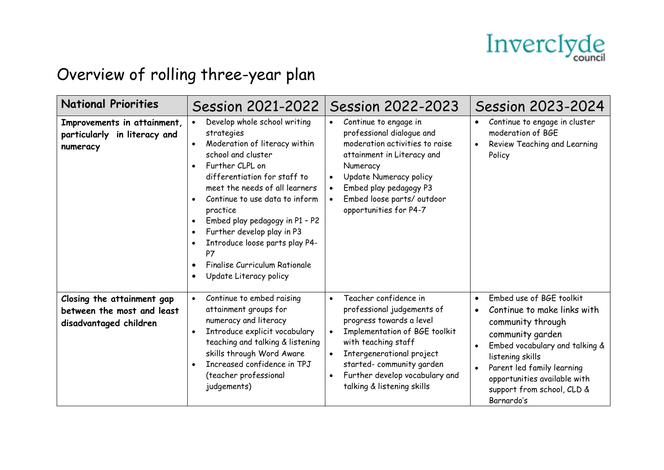

### Overview of rolling three-year plan

| <b>National Priorities</b>                                                         | <b>Session 2021-2022</b>                                                                                                                                                                                                                                                                                                                                                                                                                                                                                        | <b>Session 2022-2023</b>                                                                                                                                                                                                                                                                                | <b>Session 2023-2024</b>                                                                                                                                                                                                                                                                                |
|------------------------------------------------------------------------------------|-----------------------------------------------------------------------------------------------------------------------------------------------------------------------------------------------------------------------------------------------------------------------------------------------------------------------------------------------------------------------------------------------------------------------------------------------------------------------------------------------------------------|---------------------------------------------------------------------------------------------------------------------------------------------------------------------------------------------------------------------------------------------------------------------------------------------------------|---------------------------------------------------------------------------------------------------------------------------------------------------------------------------------------------------------------------------------------------------------------------------------------------------------|
| Improvements in attainment,<br>particularly in literacy and<br>numeracy            | Develop whole school writing<br>$\bullet$<br>strategies<br>Moderation of literacy within<br>$\bullet$<br>school and cluster<br>Further CLPL on<br>$\bullet$<br>differentiation for staff to<br>meet the needs of all learners<br>Continue to use data to inform<br>$\bullet$<br>practice<br>Embed play pedagogy in P1 - P2<br>$\bullet$<br>Further develop play in P3<br>$\bullet$<br>Introduce loose parts play P4-<br>P7<br>Finalise Curriculum Rationale<br>$\bullet$<br>Update Literacy policy<br>$\bullet$ | Continue to engage in<br>$\bullet$<br>professional dialogue and<br>moderation activities to raise<br>attainment in Literacy and<br>Numeracy<br>Update Numeracy policy<br>Embed play pedagogy P3<br>Embed loose parts/outdoor<br>opportunities for P4-7                                                  | Continue to engage in cluster<br>$\bullet$<br>moderation of BGE<br>Review Teaching and Learning<br>$\bullet$<br>Policy                                                                                                                                                                                  |
| Closing the attainment gap<br>between the most and least<br>disadvantaged children | Continue to embed raising<br>$\bullet$<br>attainment groups for<br>numeracy and literacy<br>Introduce explicit vocabulary<br>$\bullet$<br>teaching and talking & listening<br>skills through Word Aware<br>Increased confidence in TPJ<br>(teacher professional<br>judgements)                                                                                                                                                                                                                                  | Teacher confidence in<br>$\bullet$<br>professional judgements of<br>progress towards a level<br>Implementation of BGE toolkit<br>with teaching staff<br>Intergenerational project<br>$\bullet$<br>started-community garden<br>Further develop vocabulary and<br>$\bullet$<br>talking & listening skills | Embed use of BGE toolkit<br>$\bullet$<br>Continue to make links with<br>community through<br>community garden<br>Embed vocabulary and talking &<br>$\bullet$<br>listening skills<br>Parent led family learning<br>$\bullet$<br>opportunities available with<br>support from school, CLD &<br>Barnardo's |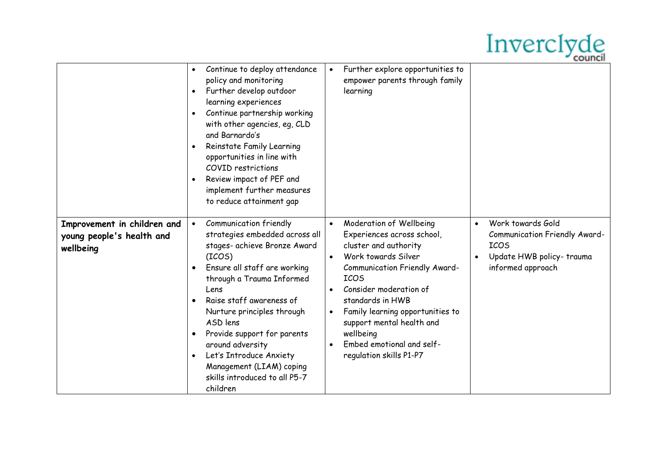## Inverclyde

|                                                                       | Continue to deploy attendance<br>policy and monitoring<br>Further develop outdoor<br>$\bullet$<br>learning experiences<br>Continue partnership working<br>$\bullet$<br>with other agencies, eg, CLD<br>and Barnardo's<br>Reinstate Family Learning<br>$\bullet$<br>opportunities in line with<br><b>COVID</b> restrictions<br>Review impact of PEF and<br>$\bullet$<br>implement further measures<br>to reduce attainment gap               | Further explore opportunities to<br>empower parents through family<br>learning                                                                                                                                                                                                                                                                         |                                                                                                                                              |
|-----------------------------------------------------------------------|---------------------------------------------------------------------------------------------------------------------------------------------------------------------------------------------------------------------------------------------------------------------------------------------------------------------------------------------------------------------------------------------------------------------------------------------|--------------------------------------------------------------------------------------------------------------------------------------------------------------------------------------------------------------------------------------------------------------------------------------------------------------------------------------------------------|----------------------------------------------------------------------------------------------------------------------------------------------|
| Improvement in children and<br>young people's health and<br>wellbeing | Communication friendly<br>$\bullet$<br>strategies embedded across all<br>stages- achieve Bronze Award<br>(ICOS)<br>Ensure all staff are working<br>through a Trauma Informed<br>Lens<br>Raise staff awareness of<br>$\bullet$<br>Nurture principles through<br>ASD lens<br>Provide support for parents<br>around adversity<br>Let's Introduce Anxiety<br>$\bullet$<br>Management (LIAM) coping<br>skills introduced to all P5-7<br>children | Moderation of Wellbeing<br>$\bullet$<br>Experiences across school,<br>cluster and authority<br>Work towards Silver<br>Communication Friendly Award-<br><b>ICOS</b><br>Consider moderation of<br>standards in HWB<br>Family learning opportunities to<br>support mental health and<br>wellbeing<br>Embed emotional and self-<br>regulation skills P1-P7 | Work towards Gold<br>$\bullet$<br>Communication Friendly Award-<br><b>ICOS</b><br>Update HWB policy-trauma<br>$\bullet$<br>informed approach |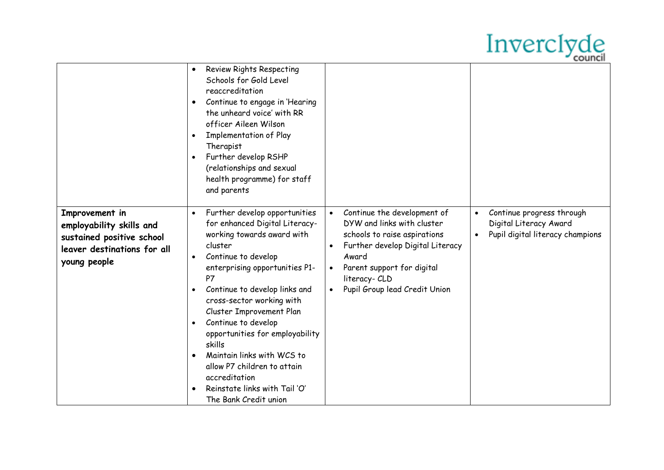# Inverclyde

|                                                                                                                        | <b>Review Rights Respecting</b><br>$\bullet$<br>Schools for Gold Level<br>reaccreditation<br>Continue to engage in 'Hearing<br>$\bullet$<br>the unheard voice' with RR<br>officer Aileen Wilson<br><b>Implementation of Play</b><br>$\bullet$<br>Therapist<br>Further develop RSHP<br>$\bullet$<br>(relationships and sexual<br>health programme) for staff<br>and parents                                                                                                                                                                                  |                                                                                                                                                                                                                                     |                                                                                                      |
|------------------------------------------------------------------------------------------------------------------------|-------------------------------------------------------------------------------------------------------------------------------------------------------------------------------------------------------------------------------------------------------------------------------------------------------------------------------------------------------------------------------------------------------------------------------------------------------------------------------------------------------------------------------------------------------------|-------------------------------------------------------------------------------------------------------------------------------------------------------------------------------------------------------------------------------------|------------------------------------------------------------------------------------------------------|
| Improvement in<br>employability skills and<br>sustained positive school<br>leaver destinations for all<br>young people | Further develop opportunities<br>$\bullet$<br>for enhanced Digital Literacy-<br>working towards award with<br>cluster<br>Continue to develop<br>$\bullet$<br>enterprising opportunities P1-<br>P7<br>Continue to develop links and<br>$\bullet$<br>cross-sector working with<br>Cluster Improvement Plan<br>Continue to develop<br>$\bullet$<br>opportunities for employability<br>skills<br>Maintain links with WCS to<br>$\bullet$<br>allow P7 children to attain<br>accreditation<br>Reinstate links with Tail 'O'<br>$\bullet$<br>The Bank Credit union | Continue the development of<br>$\bullet$<br>DYW and links with cluster<br>schools to raise aspirations<br>Further develop Digital Literacy<br>Award<br>Parent support for digital<br>literacy- CLD<br>Pupil Group lead Credit Union | Continue progress through<br>$\bullet$<br>Digital Literacy Award<br>Pupil digital literacy champions |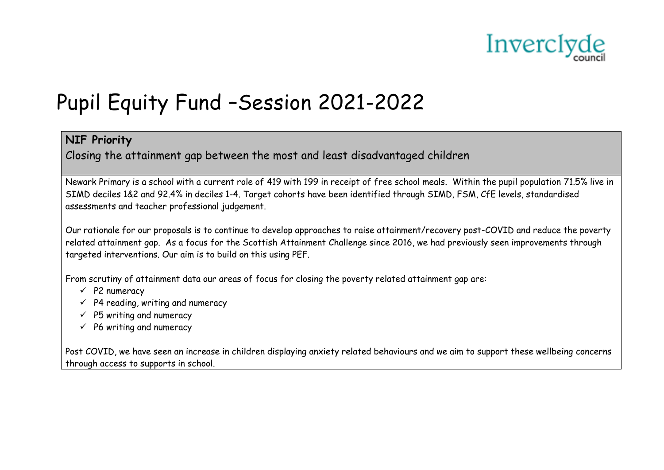

## Pupil Equity Fund –Session 2021-2022

### **NIF Priority**

Closing the attainment gap between the most and least disadvantaged children

Newark Primary is a school with a current role of 419 with 199 in receipt of free school meals. Within the pupil population 71.5% live in SIMD deciles 1&2 and 92.4% in deciles 1-4. Target cohorts have been identified through SIMD, FSM, CfE levels, standardised assessments and teacher professional judgement.

Our rationale for our proposals is to continue to develop approaches to raise attainment/recovery post-COVID and reduce the poverty related attainment gap. As a focus for the Scottish Attainment Challenge since 2016, we had previously seen improvements through targeted interventions. Our aim is to build on this using PEF.

From scrutiny of attainment data our areas of focus for closing the poverty related attainment gap are:

- $\checkmark$  P2 numeracy
- $\checkmark$  P4 reading, writing and numeracy
- $\checkmark$  P5 writing and numeracy
- $\checkmark$  P6 writing and numeracy

Post COVID, we have seen an increase in children displaying anxiety related behaviours and we aim to support these wellbeing concerns through access to supports in school.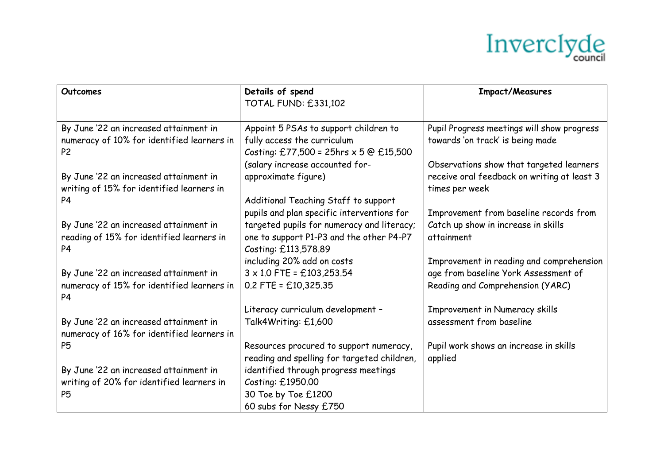

| Details of spend<br>TOTAL FUND: £331,102                                                                                                                                                                                                                                                                                                                                                                                                                                                                                                                                                                                                                                                                                      |                                                                                                                                                                                                                                                                                                                                                                                                                 | <b>Impact/Measures</b>                                                                                                                                                                                                                                                                                                                                                                                   |
|-------------------------------------------------------------------------------------------------------------------------------------------------------------------------------------------------------------------------------------------------------------------------------------------------------------------------------------------------------------------------------------------------------------------------------------------------------------------------------------------------------------------------------------------------------------------------------------------------------------------------------------------------------------------------------------------------------------------------------|-----------------------------------------------------------------------------------------------------------------------------------------------------------------------------------------------------------------------------------------------------------------------------------------------------------------------------------------------------------------------------------------------------------------|----------------------------------------------------------------------------------------------------------------------------------------------------------------------------------------------------------------------------------------------------------------------------------------------------------------------------------------------------------------------------------------------------------|
|                                                                                                                                                                                                                                                                                                                                                                                                                                                                                                                                                                                                                                                                                                                               |                                                                                                                                                                                                                                                                                                                                                                                                                 |                                                                                                                                                                                                                                                                                                                                                                                                          |
|                                                                                                                                                                                                                                                                                                                                                                                                                                                                                                                                                                                                                                                                                                                               |                                                                                                                                                                                                                                                                                                                                                                                                                 |                                                                                                                                                                                                                                                                                                                                                                                                          |
| By June '22 an increased attainment in                                                                                                                                                                                                                                                                                                                                                                                                                                                                                                                                                                                                                                                                                        | Appoint 5 PSAs to support children to                                                                                                                                                                                                                                                                                                                                                                           | Pupil Progress meetings will show progress                                                                                                                                                                                                                                                                                                                                                               |
| numeracy of 10% for identified learners in<br>fully access the curriculum                                                                                                                                                                                                                                                                                                                                                                                                                                                                                                                                                                                                                                                     |                                                                                                                                                                                                                                                                                                                                                                                                                 | towards 'on track' is being made                                                                                                                                                                                                                                                                                                                                                                         |
|                                                                                                                                                                                                                                                                                                                                                                                                                                                                                                                                                                                                                                                                                                                               |                                                                                                                                                                                                                                                                                                                                                                                                                 |                                                                                                                                                                                                                                                                                                                                                                                                          |
|                                                                                                                                                                                                                                                                                                                                                                                                                                                                                                                                                                                                                                                                                                                               |                                                                                                                                                                                                                                                                                                                                                                                                                 |                                                                                                                                                                                                                                                                                                                                                                                                          |
|                                                                                                                                                                                                                                                                                                                                                                                                                                                                                                                                                                                                                                                                                                                               |                                                                                                                                                                                                                                                                                                                                                                                                                 |                                                                                                                                                                                                                                                                                                                                                                                                          |
|                                                                                                                                                                                                                                                                                                                                                                                                                                                                                                                                                                                                                                                                                                                               |                                                                                                                                                                                                                                                                                                                                                                                                                 | times per week                                                                                                                                                                                                                                                                                                                                                                                           |
|                                                                                                                                                                                                                                                                                                                                                                                                                                                                                                                                                                                                                                                                                                                               |                                                                                                                                                                                                                                                                                                                                                                                                                 |                                                                                                                                                                                                                                                                                                                                                                                                          |
|                                                                                                                                                                                                                                                                                                                                                                                                                                                                                                                                                                                                                                                                                                                               |                                                                                                                                                                                                                                                                                                                                                                                                                 |                                                                                                                                                                                                                                                                                                                                                                                                          |
|                                                                                                                                                                                                                                                                                                                                                                                                                                                                                                                                                                                                                                                                                                                               |                                                                                                                                                                                                                                                                                                                                                                                                                 |                                                                                                                                                                                                                                                                                                                                                                                                          |
|                                                                                                                                                                                                                                                                                                                                                                                                                                                                                                                                                                                                                                                                                                                               |                                                                                                                                                                                                                                                                                                                                                                                                                 | attainment                                                                                                                                                                                                                                                                                                                                                                                               |
|                                                                                                                                                                                                                                                                                                                                                                                                                                                                                                                                                                                                                                                                                                                               |                                                                                                                                                                                                                                                                                                                                                                                                                 |                                                                                                                                                                                                                                                                                                                                                                                                          |
|                                                                                                                                                                                                                                                                                                                                                                                                                                                                                                                                                                                                                                                                                                                               |                                                                                                                                                                                                                                                                                                                                                                                                                 |                                                                                                                                                                                                                                                                                                                                                                                                          |
|                                                                                                                                                                                                                                                                                                                                                                                                                                                                                                                                                                                                                                                                                                                               |                                                                                                                                                                                                                                                                                                                                                                                                                 |                                                                                                                                                                                                                                                                                                                                                                                                          |
|                                                                                                                                                                                                                                                                                                                                                                                                                                                                                                                                                                                                                                                                                                                               |                                                                                                                                                                                                                                                                                                                                                                                                                 |                                                                                                                                                                                                                                                                                                                                                                                                          |
|                                                                                                                                                                                                                                                                                                                                                                                                                                                                                                                                                                                                                                                                                                                               |                                                                                                                                                                                                                                                                                                                                                                                                                 |                                                                                                                                                                                                                                                                                                                                                                                                          |
|                                                                                                                                                                                                                                                                                                                                                                                                                                                                                                                                                                                                                                                                                                                               |                                                                                                                                                                                                                                                                                                                                                                                                                 |                                                                                                                                                                                                                                                                                                                                                                                                          |
|                                                                                                                                                                                                                                                                                                                                                                                                                                                                                                                                                                                                                                                                                                                               |                                                                                                                                                                                                                                                                                                                                                                                                                 |                                                                                                                                                                                                                                                                                                                                                                                                          |
|                                                                                                                                                                                                                                                                                                                                                                                                                                                                                                                                                                                                                                                                                                                               |                                                                                                                                                                                                                                                                                                                                                                                                                 |                                                                                                                                                                                                                                                                                                                                                                                                          |
|                                                                                                                                                                                                                                                                                                                                                                                                                                                                                                                                                                                                                                                                                                                               |                                                                                                                                                                                                                                                                                                                                                                                                                 |                                                                                                                                                                                                                                                                                                                                                                                                          |
|                                                                                                                                                                                                                                                                                                                                                                                                                                                                                                                                                                                                                                                                                                                               |                                                                                                                                                                                                                                                                                                                                                                                                                 |                                                                                                                                                                                                                                                                                                                                                                                                          |
|                                                                                                                                                                                                                                                                                                                                                                                                                                                                                                                                                                                                                                                                                                                               |                                                                                                                                                                                                                                                                                                                                                                                                                 |                                                                                                                                                                                                                                                                                                                                                                                                          |
|                                                                                                                                                                                                                                                                                                                                                                                                                                                                                                                                                                                                                                                                                                                               |                                                                                                                                                                                                                                                                                                                                                                                                                 |                                                                                                                                                                                                                                                                                                                                                                                                          |
|                                                                                                                                                                                                                                                                                                                                                                                                                                                                                                                                                                                                                                                                                                                               |                                                                                                                                                                                                                                                                                                                                                                                                                 |                                                                                                                                                                                                                                                                                                                                                                                                          |
|                                                                                                                                                                                                                                                                                                                                                                                                                                                                                                                                                                                                                                                                                                                               |                                                                                                                                                                                                                                                                                                                                                                                                                 |                                                                                                                                                                                                                                                                                                                                                                                                          |
| (salary increase accounted for-<br>By June '22 an increased attainment in<br>approximate figure)<br>writing of 15% for identified learners in<br>By June '22 an increased attainment in<br>reading of 15% for identified learners in<br>Costing: £113,578.89<br>including 20% add on costs<br>$3 \times 1.0$ FTE = £103,253.54<br>By June '22 an increased attainment in<br>$0.2$ FTE = £10,325.35<br>numeracy of 15% for identified learners in<br>Talk4Writing: £1,600<br>By June '22 an increased attainment in<br>numeracy of 16% for identified learners in<br>By June '22 an increased attainment in<br>writing of 20% for identified learners in<br>Costing: £1950.00<br>30 Toe by Toe £1200<br>60 subs for Nessy £750 | Costing: £77,500 = 25hrs $\times$ 5 @ £15,500<br>Additional Teaching Staff to support<br>pupils and plan specific interventions for<br>targeted pupils for numeracy and literacy;<br>one to support P1-P3 and the other P4-P7<br>Literacy curriculum development -<br>Resources procured to support numeracy,<br>reading and spelling for targeted children,<br>applied<br>identified through progress meetings | Observations show that targeted learners<br>receive oral feedback on writing at least 3<br>Improvement from baseline records from<br>Catch up show in increase in skills<br>Improvement in reading and comprehension<br>age from baseline York Assessment of<br>Reading and Comprehension (YARC)<br>Improvement in Numeracy skills<br>assessment from baseline<br>Pupil work shows an increase in skills |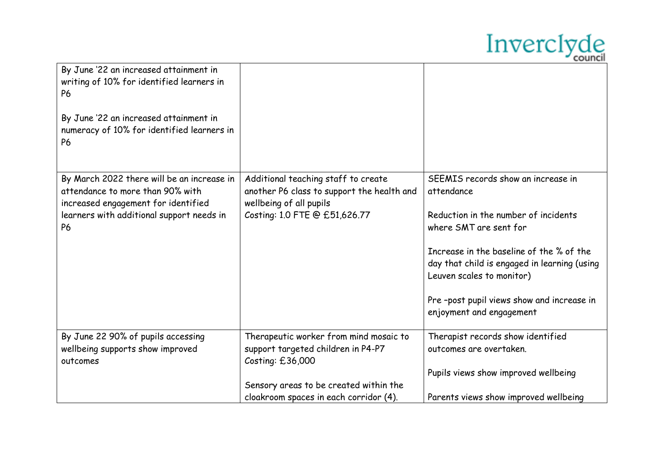

| By June '22 an increased attainment in<br>writing of 10% for identified learners in<br><b>P6</b><br>By June '22 an increased attainment in<br>numeracy of 10% for identified learners in<br><b>P6</b> |                                                                                                                                                                                      |                                                                                                                                                                                                                                                                                                                      |
|-------------------------------------------------------------------------------------------------------------------------------------------------------------------------------------------------------|--------------------------------------------------------------------------------------------------------------------------------------------------------------------------------------|----------------------------------------------------------------------------------------------------------------------------------------------------------------------------------------------------------------------------------------------------------------------------------------------------------------------|
| By March 2022 there will be an increase in<br>attendance to more than 90% with<br>increased engagement for identified<br>learners with additional support needs in<br><b>P6</b>                       | Additional teaching staff to create<br>another P6 class to support the health and<br>wellbeing of all pupils<br>Costing: 1.0 FTE @ £51,626.77                                        | SEEMIS records show an increase in<br>attendance<br>Reduction in the number of incidents<br>where SMT are sent for<br>Increase in the baseline of the % of the<br>day that child is engaged in learning (using<br>Leuven scales to monitor)<br>Pre-post pupil views show and increase in<br>enjoyment and engagement |
| By June 22 90% of pupils accessing<br>wellbeing supports show improved<br>outcomes                                                                                                                    | Therapeutic worker from mind mosaic to<br>support targeted children in P4-P7<br>Costing: £36,000<br>Sensory areas to be created within the<br>cloakroom spaces in each corridor (4). | Therapist records show identified<br>outcomes are overtaken.<br>Pupils views show improved wellbeing<br>Parents views show improved wellbeing                                                                                                                                                                        |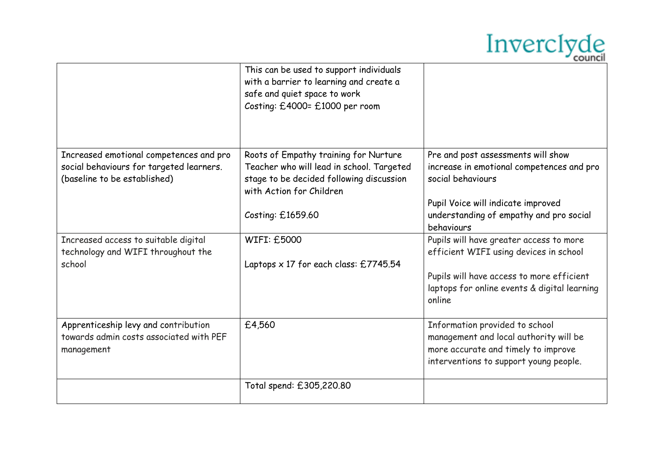

|                                                                                                                     | This can be used to support individuals<br>with a barrier to learning and create a<br>safe and quiet space to work<br>Costing: £4000= £1000 per room                            |                                                                                                                                                                                                     |
|---------------------------------------------------------------------------------------------------------------------|---------------------------------------------------------------------------------------------------------------------------------------------------------------------------------|-----------------------------------------------------------------------------------------------------------------------------------------------------------------------------------------------------|
| Increased emotional competences and pro<br>social behaviours for targeted learners.<br>(baseline to be established) | Roots of Empathy training for Nurture<br>Teacher who will lead in school. Targeted<br>stage to be decided following discussion<br>with Action for Children<br>Costing: £1659.60 | Pre and post assessments will show<br>increase in emotional competences and pro<br>social behaviours<br>Pupil Voice will indicate improved<br>understanding of empathy and pro social<br>behaviours |
| Increased access to suitable digital<br>technology and WIFI throughout the<br>school                                | <b>WIFI: £5000</b><br>Laptops $\times$ 17 for each class: £7745.54                                                                                                              | Pupils will have greater access to more<br>efficient WIFI using devices in school<br>Pupils will have access to more efficient<br>laptops for online events & digital learning<br>online            |
| Apprenticeship levy and contribution<br>towards admin costs associated with PEF<br>management                       | £4,560                                                                                                                                                                          | Information provided to school<br>management and local authority will be<br>more accurate and timely to improve<br>interventions to support young people.                                           |
|                                                                                                                     | Total spend: £305,220.80                                                                                                                                                        |                                                                                                                                                                                                     |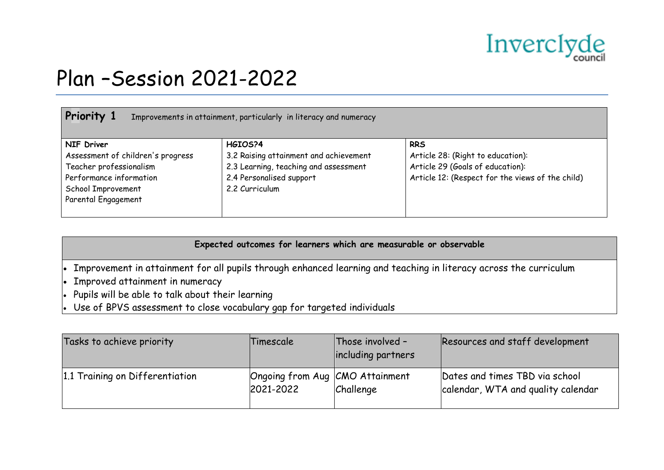

### Plan –Session 2021-2022

| Priority 1                                                                                                                                                | Improvements in attainment, particularly in literacy and numeracy                                                                        |                                                                                                                                         |
|-----------------------------------------------------------------------------------------------------------------------------------------------------------|------------------------------------------------------------------------------------------------------------------------------------------|-----------------------------------------------------------------------------------------------------------------------------------------|
| <b>NIF Driver</b><br>Assessment of children's progress<br>Teacher professionalism<br>Performance information<br>School Improvement<br>Parental Engagement | HGIOS?4<br>3.2 Raising attainment and achievement<br>2.3 Learning, teaching and assessment<br>2.4 Personalised support<br>2.2 Curriculum | <b>RRS</b><br>Article 28: (Right to education):<br>Article 29 (Goals of education):<br>Article 12: (Respect for the views of the child) |

### **Expected outcomes for learners which are measurable or observable**

Improvement in attainment for all pupils through enhanced learning and teaching in literacy across the curriculum

- Improved attainment in numeracy
- Pupils will be able to talk about their learning
- Use of BPVS assessment to close vocabulary gap for targeted individuals

| Tasks to achieve priority       | Timescale                                    | Those involved -<br>including partners | Resources and staff development                                      |
|---------------------------------|----------------------------------------------|----------------------------------------|----------------------------------------------------------------------|
| 1.1 Training on Differentiation | Ongoing from Aug CMO Attainment<br>2021-2022 | Challenge                              | Dates and times TBD via school<br>calendar, WTA and quality calendar |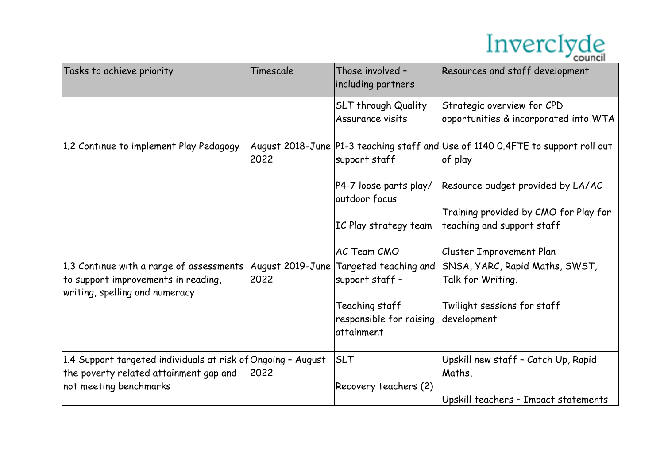

| Tasks to achieve priority                                                                                         | Timescale                | Those involved -<br>including partners                  | Resources and staff development                                                            |
|-------------------------------------------------------------------------------------------------------------------|--------------------------|---------------------------------------------------------|--------------------------------------------------------------------------------------------|
|                                                                                                                   |                          | SLT through Quality<br>Assurance visits                 | Strategic overview for CPD<br>opportunities & incorporated into WTA                        |
| 1.2 Continue to implement Play Pedagogy                                                                           | 2022                     | support staff                                           | August 2018-June P1-3 teaching staff and Use of 1140 0.4FTE to support roll out<br>of play |
|                                                                                                                   |                          | P4-7 loose parts play/<br>outdoor focus                 | Resource budget provided by LA/AC                                                          |
|                                                                                                                   |                          | IC Play strategy team                                   | Training provided by CMO for Play for<br>teaching and support staff                        |
|                                                                                                                   |                          | AC Team CMO                                             | <b>Cluster Improvement Plan</b>                                                            |
| 1.3 Continue with a range of assessments<br>to support improvements in reading,<br>writing, spelling and numeracy | August 2019-June<br>2022 | Targeted teaching and<br>support staff -                | SNSA, YARC, Rapid Maths, SWST,<br>Talk for Writing.                                        |
|                                                                                                                   |                          | Teaching staff<br>responsible for raising<br>attainment | Twilight sessions for staff<br>development                                                 |
| 1.4 Support targeted individuals at risk of Ongoing - August                                                      |                          | <b>SLT</b>                                              | Upskill new staff - Catch Up, Rapid                                                        |
| the poverty related attainment gap and                                                                            | 2022                     |                                                         | Maths,                                                                                     |
| not meeting benchmarks                                                                                            |                          | Recovery teachers (2)                                   | Upskill teachers - Impact statements                                                       |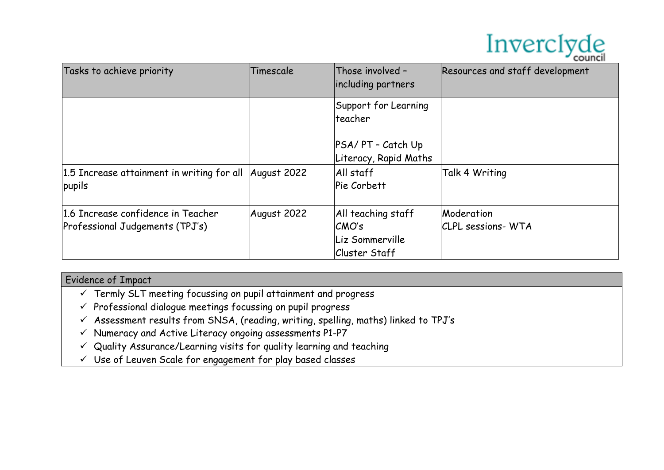

| Tasks to achieve priority                                             | Timescale   | Those involved -<br>including partners                                 | Resources and staff development         |
|-----------------------------------------------------------------------|-------------|------------------------------------------------------------------------|-----------------------------------------|
|                                                                       |             | Support for Learning<br>lteacher                                       |                                         |
|                                                                       |             | PSA/ PT - Catch Up<br>Literacy, Rapid Maths                            |                                         |
| 1.5 Increase attainment in writing for all August 2022<br>pupils      |             | All staff<br>Pie Corbett                                               | Talk 4 Writing                          |
| 1.6 Increase confidence in Teacher<br>Professional Judgements (TPJ's) | August 2022 | All teaching staff<br>CMO's<br>Liz Sommerville<br><b>Cluster Staff</b> | Moderation<br><b>CLPL</b> sessions- WTA |

- $\checkmark$  Termly SLT meeting focussing on pupil attainment and progress
- $\checkmark$  Professional dialogue meetings focussing on pupil progress
- $\checkmark$  Assessment results from SNSA, (reading, writing, spelling, maths) linked to TPJ's
- $\checkmark$  Numeracy and Active Literacy ongoing assessments P1-P7
- Quality Assurance/Learning visits for quality learning and teaching
- Use of Leuven Scale for engagement for play based classes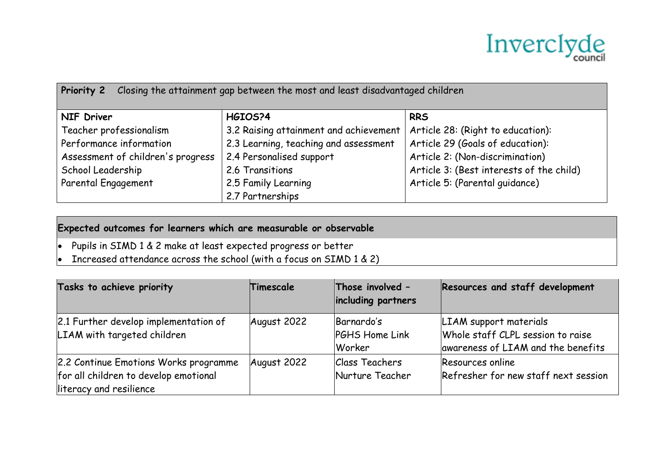

| Closing the attainment gap between the most and least disadvantaged children<br><b>Priority 2</b> |                                        |                                          |  |  |
|---------------------------------------------------------------------------------------------------|----------------------------------------|------------------------------------------|--|--|
| <b>NIF Driver</b>                                                                                 | HGIOS?4                                | <b>RRS</b>                               |  |  |
| Teacher professionalism                                                                           | 3.2 Raising attainment and achievement | Article 28: (Right to education):        |  |  |
| Performance information                                                                           | 2.3 Learning, teaching and assessment  | Article 29 (Goals of education):         |  |  |
| Assessment of children's progress                                                                 | 2.4 Personalised support               | Article 2: (Non-discrimination)          |  |  |
| School Leadership                                                                                 | 2.6 Transitions                        | Article 3: (Best interests of the child) |  |  |
| Parental Engagement                                                                               | 2.5 Family Learning                    | Article 5: (Parental guidance)           |  |  |
|                                                                                                   | 2.7 Partnerships                       |                                          |  |  |

### **Expected outcomes for learners which are measurable or observable**

- $\bullet$  Pupils in SIMD 1 & 2 make at least expected progress or better
- $\bullet$  Increased attendance across the school (with a focus on SIMD 1 & 2)

| Tasks to achieve priority                                                                                 | Timescale   | Those involved -<br>including partners   | Resources and staff development                                                                   |
|-----------------------------------------------------------------------------------------------------------|-------------|------------------------------------------|---------------------------------------------------------------------------------------------------|
| 2.1 Further develop implementation of<br>LIAM with targeted children                                      | August 2022 | Barnardo's<br>PGHS Home Link<br>Worker   | LIAM support materials<br>Whole staff CLPL session to raise<br>awareness of LIAM and the benefits |
| 2.2 Continue Emotions Works programme<br>for all children to develop emotional<br>literacy and resilience | August 2022 | <b>Class Teachers</b><br>Nurture Teacher | Resources online<br>Refresher for new staff next session                                          |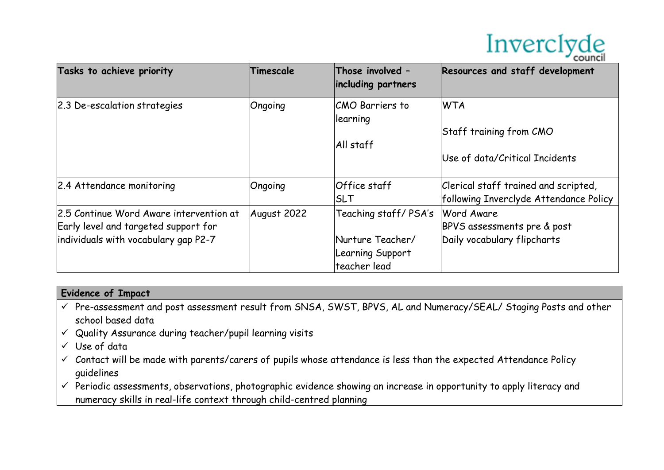

| Tasks to achieve priority                                                                                               | Timescale   | Those involved -<br>including partners                                       | Resources and staff development                                                |
|-------------------------------------------------------------------------------------------------------------------------|-------------|------------------------------------------------------------------------------|--------------------------------------------------------------------------------|
| 2.3 De-escalation strategies                                                                                            | Ongoing     | <b>CMO Barriers to</b><br>llearning<br>All staff                             | <b>WTA</b><br>Staff training from CMO<br>Use of data/Critical Incidents        |
| 2.4 Attendance monitoring                                                                                               | Ongoing     | Office staff<br><b>SLT</b>                                                   | Clerical staff trained and scripted,<br>following Inverclyde Attendance Policy |
| 2.5 Continue Word Aware intervention at<br>Early level and targeted support for<br>individuals with vocabulary gap P2-7 | August 2022 | Teaching staff/PSA's<br>Nurture Teacher/<br>Learning Support<br>teacher lead | Word Aware<br>BPVS assessments pre & post<br>Daily vocabulary flipcharts       |

- Pre-assessment and post assessment result from SNSA, SWST, BPVS, AL and Numeracy/SEAL/ Staging Posts and other school based data
- $\checkmark$  Quality Assurance during teacher/pupil learning visits
- $\checkmark$  Use of data
- $\checkmark$  Contact will be made with parents/carers of pupils whose attendance is less than the expected Attendance Policy guidelines
- $\checkmark$  Periodic assessments, observations, photographic evidence showing an increase in opportunity to apply literacy and numeracy skills in real-life context through child-centred planning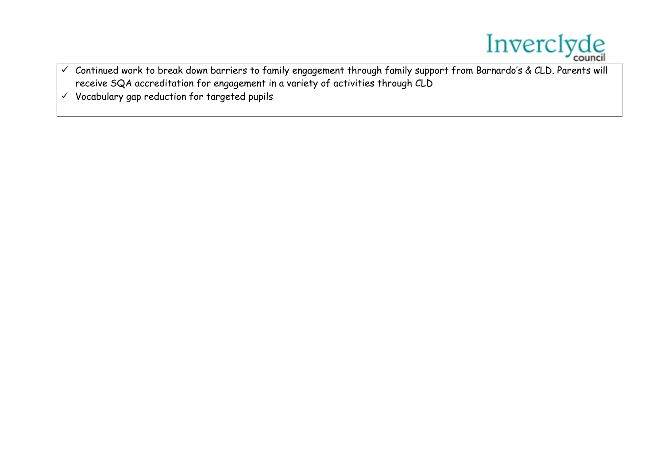

- Continued work to break down barriers to family engagement through family support from Barnardo's & CLD. Parents will receive SQA accreditation for engagement in a variety of activities through CLD
- $\checkmark$  Vocabulary gap reduction for targeted pupils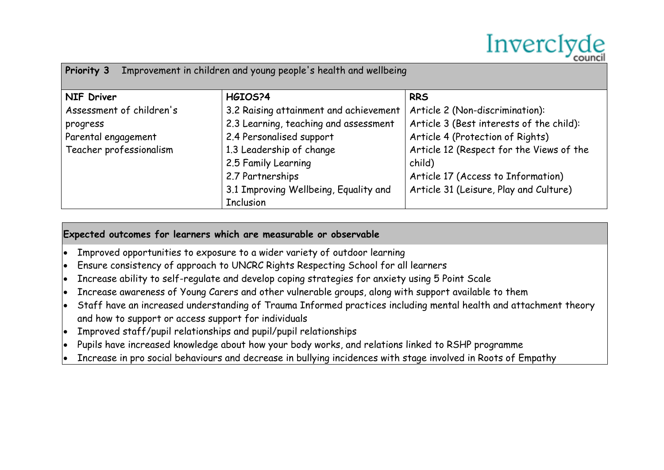

| Improvement in children and young people's health and wellbeing<br>Priority 3 |                                        |                                          |  |  |  |
|-------------------------------------------------------------------------------|----------------------------------------|------------------------------------------|--|--|--|
| <b>NIF Driver</b>                                                             | HGIOS?4                                | <b>RRS</b>                               |  |  |  |
| Assessment of children's                                                      | 3.2 Raising attainment and achievement | Article 2 (Non-discrimination):          |  |  |  |
| progress                                                                      | 2.3 Learning, teaching and assessment  | Article 3 (Best interests of the child): |  |  |  |
| Parental engagement                                                           | 2.4 Personalised support               | Article 4 (Protection of Rights)         |  |  |  |
| Teacher professionalism                                                       | 1.3 Leadership of change               | Article 12 (Respect for the Views of the |  |  |  |
|                                                                               | 2.5 Family Learning                    | child)                                   |  |  |  |
|                                                                               | 2.7 Partnerships                       | Article 17 (Access to Information)       |  |  |  |
|                                                                               | 3.1 Improving Wellbeing, Equality and  | Article 31 (Leisure, Play and Culture)   |  |  |  |
|                                                                               | <b>Inclusion</b>                       |                                          |  |  |  |

### **Expected outcomes for learners which are measurable or observable**

- Improved opportunities to exposure to a wider variety of outdoor learning
- Ensure consistency of approach to UNCRC Rights Respecting School for all learners
- Increase ability to self-regulate and develop coping strategies for anxiety using 5 Point Scale
- Increase awareness of Young Carers and other vulnerable groups, along with support available to them
- Staff have an increased understanding of Trauma Informed practices including mental health and attachment theory and how to support or access support for individuals
- Improved staff/pupil relationships and pupil/pupil relationships
- Pupils have increased knowledge about how your body works, and relations linked to RSHP programme
- Increase in pro social behaviours and decrease in bullying incidences with stage involved in Roots of Empathy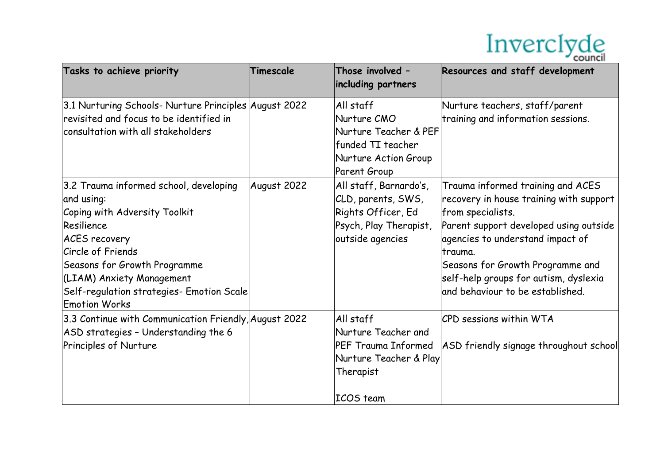

| Tasks to achieve priority                                                                                                                                                                                                                                                                 | Timescale   | Those involved -<br>including partners                                                                                | Resources and staff development                                                                                                                                                                                                                                                                             |
|-------------------------------------------------------------------------------------------------------------------------------------------------------------------------------------------------------------------------------------------------------------------------------------------|-------------|-----------------------------------------------------------------------------------------------------------------------|-------------------------------------------------------------------------------------------------------------------------------------------------------------------------------------------------------------------------------------------------------------------------------------------------------------|
| 3.1 Nurturing Schools- Nurture Principles August 2022<br>revisited and focus to be identified in<br>consultation with all stakeholders                                                                                                                                                    |             | All staff<br>Nurture CMO<br>Nurture Teacher & PEF<br>funded TI teacher<br>Nurture Action Group<br><b>Parent Group</b> | Nurture teachers, staff/parent<br>training and information sessions.                                                                                                                                                                                                                                        |
| 3.2 Trauma informed school, developing<br>and using:<br>Coping with Adversity Toolkit<br>Resilience<br><b>ACES</b> recovery<br><b>Circle of Friends</b><br>Seasons for Growth Programme<br>(LIAM) Anxiety Management<br>Self-regulation strategies- Emotion Scale<br><b>Emotion Works</b> | August 2022 | All staff, Barnardo's,<br>CLD, parents, SWS,<br>Rights Officer, Ed<br>Psych, Play Therapist,<br>outside agencies      | Trauma informed training and ACES<br>recovery in house training with support<br>from specialists.<br>Parent support developed using outside<br>agencies to understand impact of<br>trauma.<br>Seasons for Growth Programme and<br>self-help groups for autism, dyslexia<br>and behaviour to be established. |
| 3.3 Continue with Communication Friendly, August 2022<br>ASD strategies - Understanding the 6<br>Principles of Nurture                                                                                                                                                                    |             | All staff<br>Nurture Teacher and<br>PEF Trauma Informed<br>Nurture Teacher & Play<br>Therapist<br>ICOS team           | CPD sessions within WTA<br>ASD friendly signage throughout school                                                                                                                                                                                                                                           |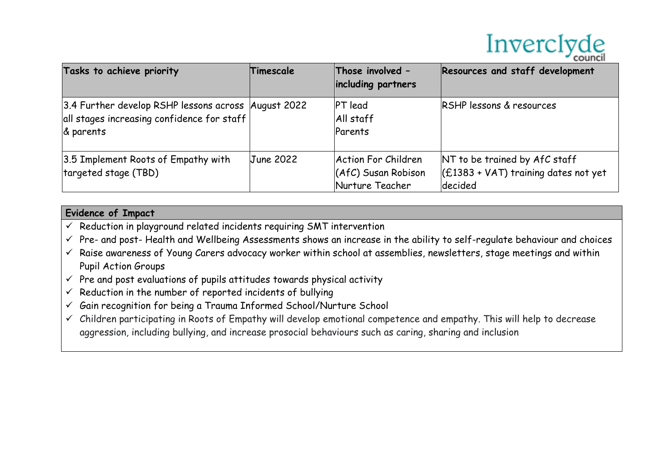

| Tasks to achieve priority                                                                                      | Timescale        | Those involved -<br>including partners                          | Resources and staff development                                                    |
|----------------------------------------------------------------------------------------------------------------|------------------|-----------------------------------------------------------------|------------------------------------------------------------------------------------|
| 3.4 Further develop RSHP lessons across August 2022<br>all stages increasing confidence for staff<br>& parents |                  | <b>PT</b> lead<br>All staff<br>Parents                          | RSHP lessons & resources                                                           |
| 3.5 Implement Roots of Empathy with<br>targeted stage (TBD)                                                    | <b>June 2022</b> | Action For Children<br>$(AfC)$ Susan Robison<br>Nurture Teacher | NT to be trained by AfC staff<br>$ E1383 + VAT $ training dates not yet<br>decided |

- $\checkmark$  Reduction in playground related incidents requiring SMT intervention
- $\checkmark$  Pre- and post-Health and Wellbeing Assessments shows an increase in the ability to self-regulate behaviour and choices
- $\checkmark$  Raise awareness of Young Carers advocacy worker within school at assemblies, newsletters, stage meetings and within Pupil Action Groups
- $\checkmark$  Pre and post evaluations of pupils attitudes towards physical activity
- $\checkmark$  Reduction in the number of reported incidents of bullying
- $\checkmark$  Gain recognition for being a Trauma Informed School/Nurture School
- $\checkmark$  Children participating in Roots of Empathy will develop emotional competence and empathy. This will help to decrease aggression, including bullying, and increase prosocial behaviours such as caring, sharing and inclusion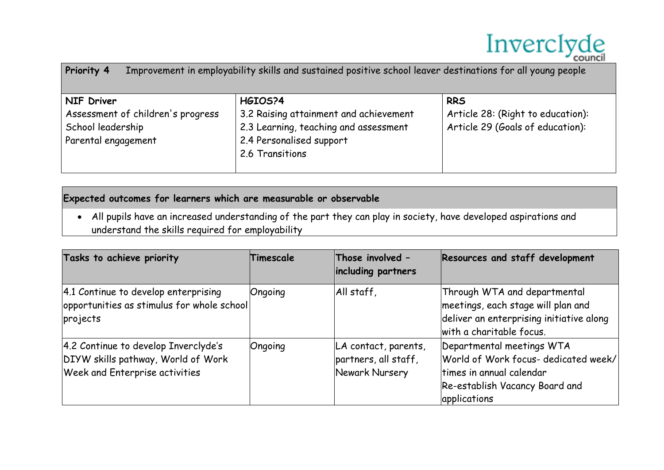

| Improvement in employability skills and sustained positive school leaver destinations for all young people<br><b>Priority 4</b> |                                                                                                                                           |                                                                                     |  |
|---------------------------------------------------------------------------------------------------------------------------------|-------------------------------------------------------------------------------------------------------------------------------------------|-------------------------------------------------------------------------------------|--|
| <b>NIF Driver</b><br>Assessment of children's progress<br>School leadership<br>Parental engagement                              | HGIOS?4<br>3.2 Raising attainment and achievement<br>2.3 Learning, teaching and assessment<br>2.4 Personalised support<br>2.6 Transitions | <b>RRS</b><br>Article 28: (Right to education):<br>Article 29 (Goals of education): |  |

#### **Expected outcomes for learners which are measurable or observable**

 All pupils have an increased understanding of the part they can play in society, have developed aspirations and understand the skills required for employability

| Tasks to achieve priority                                                                                           | Timescale | Those involved -<br>including partners                         | Resources and staff development                                                                                                                 |
|---------------------------------------------------------------------------------------------------------------------|-----------|----------------------------------------------------------------|-------------------------------------------------------------------------------------------------------------------------------------------------|
| 4.1 Continue to develop enterprising<br>opportunities as stimulus for whole school<br>projects                      | Ongoing   | All staff,                                                     | Through WTA and departmental<br>meetings, each stage will plan and<br>deliver an enterprising initiative along<br>with a charitable focus.      |
| 4.2 Continue to develop Inverclyde's<br>DIYW skills pathway, World of Work<br><b>Week and Enterprise activities</b> | Ongoing   | LA contact, parents,<br>partners, all staff,<br>Newark Nursery | Departmental meetings WTA<br>World of Work focus- dedicated week/<br>times in annual calendar<br>Re-establish Vacancy Board and<br>applications |